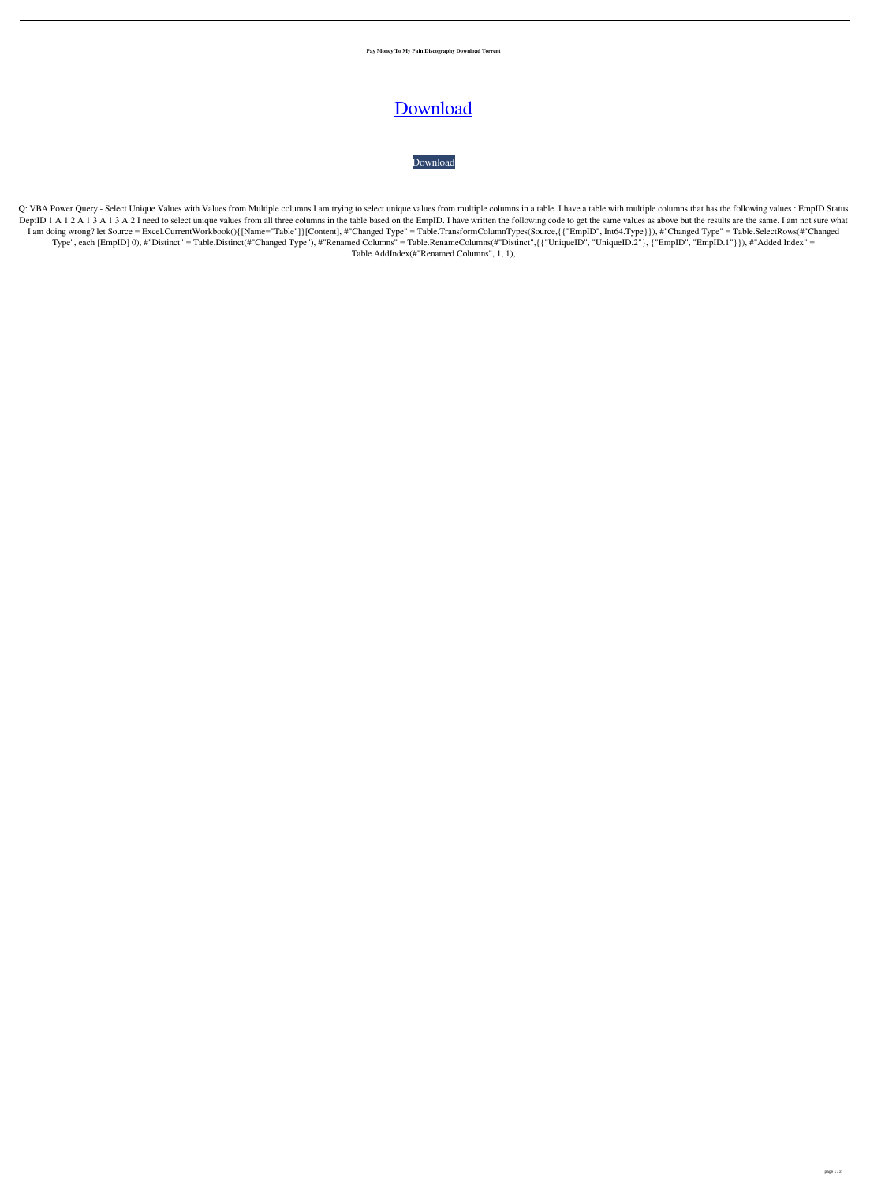**Pay Money To My Pain Discography Download Torrent**

## [Download](http://evacdir.com/sumner/bayes/ZG93bmxvYWR8Mmt4TVhnM1pIeDhNVFkxTWpRMk16QTFNSHg4TWpVM05IeDhLRTBwSUhKbFlXUXRZbXh2WnlCYlJtRnpkQ0JIUlU1ZA.boogie?&UGF5IE1vbmV5IFRvIE15IFBhaW4gRGlzY29ncmFwaHkgRG93bmxvYWQgVG9ycmVudAUGF=roughhouse)

## [Download](http://evacdir.com/sumner/bayes/ZG93bmxvYWR8Mmt4TVhnM1pIeDhNVFkxTWpRMk16QTFNSHg4TWpVM05IeDhLRTBwSUhKbFlXUXRZbXh2WnlCYlJtRnpkQ0JIUlU1ZA.boogie?&UGF5IE1vbmV5IFRvIE15IFBhaW4gRGlzY29ncmFwaHkgRG93bmxvYWQgVG9ycmVudAUGF=roughhouse)

Q: VBA Power Query - Select Unique Values with Values from Multiple columns I am trying to select unique values from multiple columns in a table. I have a table with multiple columns that has the following values : EmpID S DeptID 1 A 1 2 A 1 3 A 2 I need to select unique values from all three columns in the table based on the EmpID. I have written the following code to get the same values as above but the results are the same. I am not sure I am doing wrong? let Source = Excel.CurrentWorkbook(){[Name="Table"]}[Content], #"Changed Type" = Table.TransformColumnTypes(Source,{{"EmpID", Int64.Type}}), #"Changed Type" = Table.SelectRows(#"Changed Type", each [EmpID] 0), #"Distinct" = Table.Distinct(#"Changed Type"), #"Renamed Columns" = Table.RenameColumns(#"Distinct",{{"UniqueID", "UniqueID.2"}, {"EmpID", "EmpID.1"}}), #"Added Index" = Table.AddIndex(#"Renamed Columns", 1, 1),